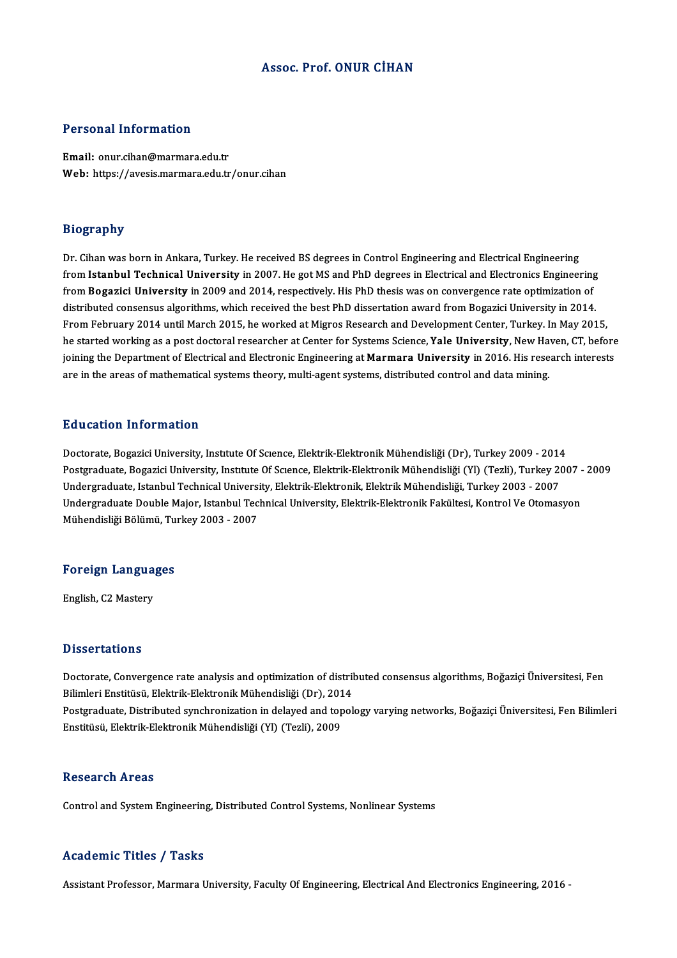### Assoc. Prof. ONUR CİHAN

#### Personal Information

Email: onur.cihan@marmara.edu.tr Web: https://avesis.marmara.edu.tr/onur.cihan

### Biography

Dr. Cihan was born in Ankara, Turkey. He received BS degrees in Control Engineering and Electrical Engineering from Istanbul Technical University in 2007. He got MS and PhD degrees in Electrical and Electronics Engineering from Bogazici University in 2009 and 2014, respectively. His PhD thesis was on convergence rate optimization of from Istanbul Technical University in 2007. He got MS and PhD degrees in Electrical and Electronics Engineering<br>from Bogazici University in 2009 and 2014, respectively. His PhD thesis was on convergence rate optimization o from Bogazici University in 2009 and 2014, respectively. His PhD thesis was on convergence rate optimization of<br>distributed consensus algorithms, which received the best PhD dissertation award from Bogazici University in 2 distributed consensus algorithms, which received the best PhD dissertation award from Bogazici University in 2014.<br>From February 2014 until March 2015, he worked at Migros Research and Development Center, Turkey. In May 20 From February 2014 until March 2015, he worked at Migros Research and Development Center, Turkey. In May 2015,<br>he started working as a post doctoral researcher at Center for Systems Science, **Yale University**, New Haven, C are in the areas of mathematical systems theory, multi-agent systems, distributed control and data mining.

#### Education Information

Doctorate, Bogazici University, Institute Of Science, Elektrik-Elektronik Mühendisliği (Dr), Turkey 2009 - 2014 Pu u cutron "Informution"<br>Doctorate, Bogazici University, Institute Of Science, Elektrik-Elektronik Mühendisliği (Dr), Turkey 2009 - 2014<br>Undergraduate, Istanbul Technical University, Flektrik, Elektrik-Elektronik Mühendis Doctorate, Bogazici University, Institute Of Science, Elektrik-Elektronik Mühendisliği (Dr), Turkey 2009 - 2014<br>Postgraduate, Bogazici University, Institute Of Science, Elektrik-Elektronik Mühendisliği (Yl) (Tezli), Turkey Postgraduate, Bogazici University, Institute Of Science, Elektrik-Elektronik Mühendisliği (Yl) (Tezli), Turkey 2007<br>Undergraduate, Istanbul Technical University, Elektrik-Elektronik, Elektrik Mühendisliği, Turkey 2003 - 20 Undergraduate, Istanbul Technical University, Elektrik-Elektronik, Elektrik Mühendisliği, Turkey 2003 - 2007<br>Undergraduate Double Major, Istanbul Technical University, Elektrik-Elektronik Fakültesi, Kontrol Ve Otomasyon<br>Mü

## munenaisiigi Bolumu, Tu<br>Foreign Languages F<mark>oreign Langua</mark><br>English, C2 Mastery

English, C2 Mastery<br>Dissertations

Dissertations<br>Doctorate, Convergence rate analysis and optimization of distributed consensus algorithms, Boğaziçi Üniversitesi, Fen<br>Bilimlori Enstitüsü, Elektrik Elektronik Mühandialiği (Dr.), 2014 Bilimleri<br>Bilimleri Enstitüsü, Elektrik-Elektronik Mühendisliği (Dr), 2014<br>Bilimleri Enstitüsü, Elektrik-Elektronik Mühendisliği (Dr), 2014<br>Bestanduate Distributed sunebrenization in delayed and topel Doctorate, Convergence rate analysis and optimization of distributed consensus algorithms, Boğaziçi Üniversitesi, Fen<br>Bilimleri Enstitüsü, Elektrik-Elektronik Mühendisliği (Dr), 2014<br>Postgraduate, Distributed synchronizati

Bilimleri Enstitüsü, Elektrik-Elektronik Mühendisliği (Dr), 2014<br>Postgraduate, Distributed synchronization in delayed and topology varying networks, Boğaziçi Üniversitesi, Fen Bilimleri<br>Enstitüsü, Elektrik-Elektronik Mühen

### Research Areas

Control and System Engineering, Distributed Control Systems, Nonlinear Systems

#### Academic Titles / Tasks

Assistant Professor, Marmara University, Faculty Of Engineering, Electrical And Electronics Engineering, 2016 -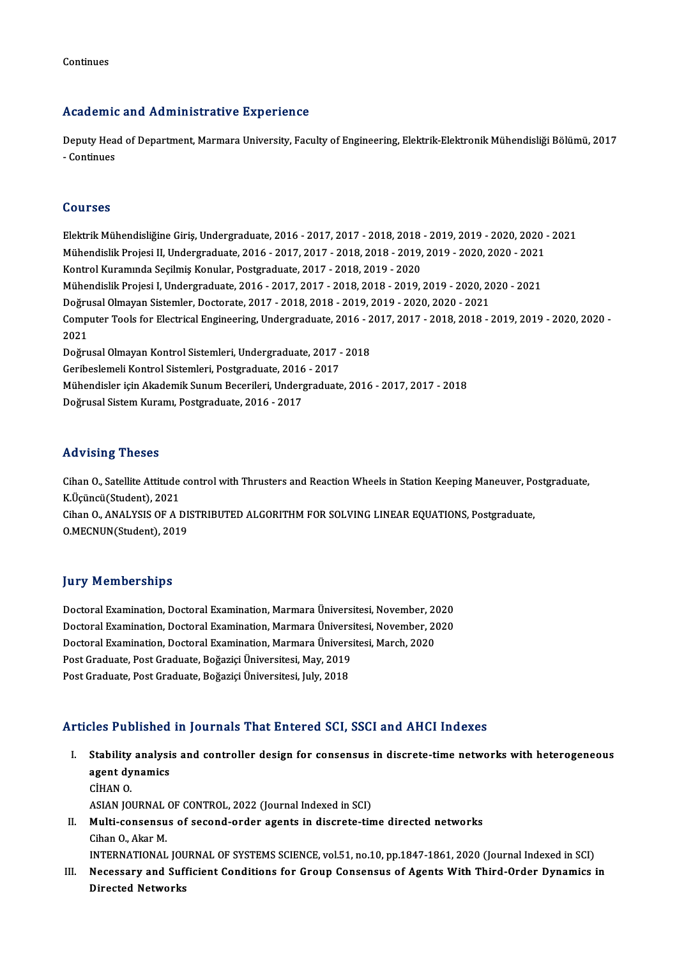Continues

### Academic and Administrative Experience

Academic and Administrative Experience<br>Deputy Head of Department, Marmara University, Faculty of Engineering, Elektrik-Elektronik Mühendisliği Bölümü, 2017<br>- Continues -Continues<br>- Continues<br>- Continues - Continues<br>Courses

ElektrikMühendisliğineGiriş,Undergraduate,2016 -2017,2017 -2018,2018 -2019,2019 -2020,2020 -2021 SS&1988<br>Elektrik Mühendisliğine Giriş, Undergraduate, 2016 - 2017, 2017 - 2018, 2018 - 2019, 2019 - 2020, 2020<br>Mühendislik Projesi II, Undergraduate, 2016 - 2017, 2017 - 2018, 2018 - 2019, 2019 - 2020, 2020 - 2021<br>Kontrol Kontrol Kuramında Seçilmiş Konular, Postgraduate, 2017 - 2018, 2019 - 2020 Mühendislik Projesi II, Undergraduate, 2016 - 2017, 2017 - 2018, 2018 - 2019, 2019 - 2020, 2020 - 2021<br>Kontrol Kuramında Seçilmiş Konular, Postgraduate, 2017 - 2018, 2019 - 2020<br>Mühendislik Projesi I, Undergraduate, 2016 -Mühendislik Projesi I, Undergraduate, 2016 - 2017, 2017 - 2018, 2018 - 2019, 2019 - 2020, 2020 - 2021 Mühendislik Projesi I, Undergraduate, 2016 - 2017, 2017 - 2018, 2018 - 2019, 2019 - 2020, 2020 - 2021<br>Doğrusal Olmayan Sistemler, Doctorate, 2017 - 2018, 2018 - 2019, 2019 - 2020, 2020 - 2021<br>Computer Tools for Electrical Doğrusal Olmayan Sistemler, Doctorate, 2017 - 2018, 2018 - 2019, 2019 - 2020, 2020 - 2021<br>Computer Tools for Electrical Engineering, Undergraduate, 2016 - 2017, 2017 - 2018, 2018 -<br>2021 Computer Tools for Electrical Engineering, Undergraduate, 2016 - 2<br>2021<br>Doğrusal Olmayan Kontrol Sistemleri, Undergraduate, 2017 - 2018<br>Ceribeslameli Kontrol Sistemleri, Postaraduate, 2016 - 2017 Doğrusal Olmayan Kontrol Sistemleri, Undergraduate, 2017 - 2018<br>Geribeslemeli Kontrol Sistemleri, Postgraduate, 2016 - 2017 Mühendisler içinAkademikSunumBecerileri,Undergraduate,2016 -2017,2017 -2018 Doğrusal Sistem Kuramı, Postgraduate, 2016 - 2017

### Advising Theses

Advising Theses<br>Cihan O., Satellite Attitude control with Thrusters and Reaction Wheels in Station Keeping Maneuver, Postgraduate,<br>K.Üsünsü (Student), 2021 raavising 1 neses<br>Cihan O., Satellite Attitude<br>K.Üçüncü(Student), 2021<br>Cihan O. ANAI YSIS OE A I Cihan O., Satellite Attitude control with Thrusters and Reaction Wheels in Station Keeping Maneuver, Po<br>K.Üçüncü(Student), 2021<br>Cihan O., ANALYSIS OF A DISTRIBUTED ALGORITHM FOR SOLVING LINEAR EQUATIONS, Postgraduate,<br>O.ME K.Üçüncü(Student), 2021<br>Cihan O., ANALYSIS OF A DISTRIBUTED ALGORITHM FOR SOLVING LINEAR EQUATIONS, Postgraduate,<br>O.MECNUN(Student), 2019

### **Jury Memberships**

**Jury Memberships<br>Doctoral Examination, Doctoral Examination, Marmara Üniversitesi, November, 2020<br>Doctoral Examination, Doctoral Examination, Marmara Üniversitesi, November, 2020** Jury Tromporompo<br>Doctoral Examination, Doctoral Examination, Marmara Üniversitesi, November, 2020<br>Doctoral Examination, Doctoral Examination, Marmara Üniversitesi, November, 2020<br>Doctoral Examination, Doctoral Examination, Doctoral Examination, Doctoral Examination, Marmara Üniversitesi, November, 20<br>Doctoral Examination, Doctoral Examination, Marmara Üniversitesi, November, 20<br>Doctoral Examination, Doctoral Examination, Marmara Üniversitesi Doctoral Examination, Doctoral Examination, Marmara Ünivers<br>Doctoral Examination, Doctoral Examination, Marmara Ünivers<br>Post Graduate, Post Graduate, Boğaziçi Üniversitesi, May, 2019<br>Post Craduate, Post Craduate, Boğaziçi Doctoral Examination, Doctoral Examination, Marmara Ünivers<br>Post Graduate, Post Graduate, Boğaziçi Üniversitesi, May, 2019<br>Post Graduate, Post Graduate, Boğaziçi Üniversitesi, July, 2018

## Post Graduate, Post Graduate, Boğaziçi Üniversitesi, July, 2018<br>Articles Published in Journals That Entered SCI, SSCI and AHCI Indexes

- rticles Published in Journals That Entered SCI, SSCI and AHCI Indexes<br>I. Stability analysis and controller design for consensus in discrete-time networks with heterogeneous<br>2001 dynamics stes a densited<br>Stability analysi<br>agent dynamics<br>CiuAN O Stability<br>agent dy<br>CİHAN O. agent dynamics<br>CİHAN O.<br>ASIAN JOURNAL OF CONTROL, 2022 (Journal Indexed in SCI) CİHAN 0.<br>ASIAN JOURNAL OF CONTROL, 2022 (Journal Indexed in SCI)<br>II. Multi-consensus of second-order agents in discrete-time directed networks<br>Ciban O. Akar M
- ASIAN JOURNAL<br><mark>Multi-consensu</mark><br>Cihan O., Akar M.<br>INTERNATIONAL Multi-consensus of second-order agents in discrete-time directed networks<br>Cihan O., Akar M.<br>INTERNATIONAL JOURNAL OF SYSTEMS SCIENCE, vol.51, no.10, pp.1847-1861, 2020 (Journal Indexed in SCI)<br>Negessary and Sufficient Cond
- Cihan O., Akar M.<br>INTERNATIONAL JOURNAL OF SYSTEMS SCIENCE, vol.51, no.10, pp.1847-1861, 2020 (Journal Indexed in SCI)<br>III. Necessary and Sufficient Conditions for Group Consensus of Agents With Third-Order Dynamics in INTERNATIONAL JOU<br>Necessary and Suf<br>Directed Networks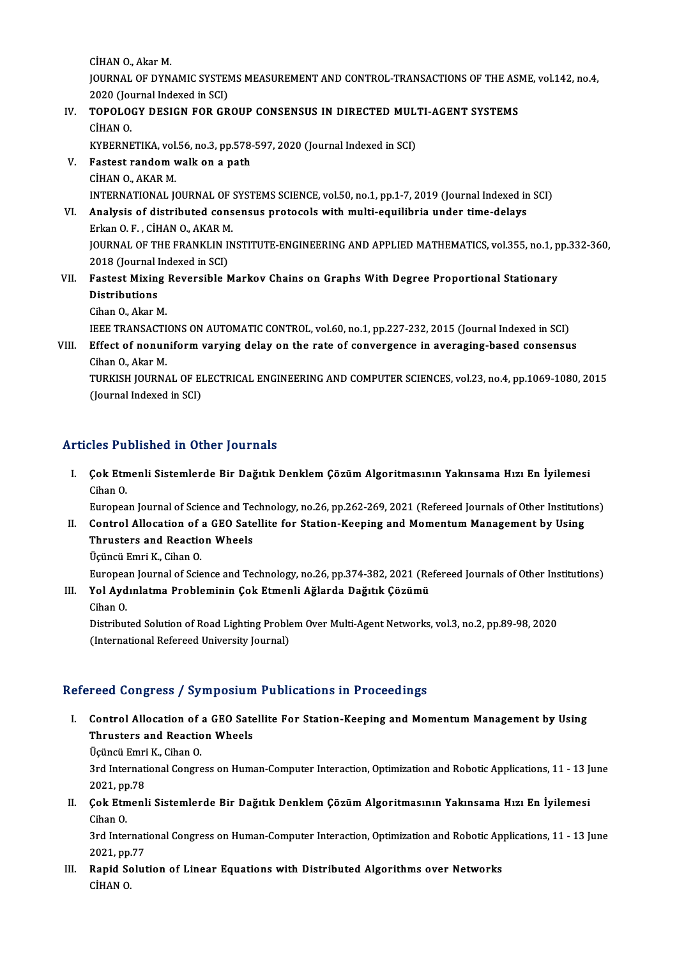CİHANO.,AkarM. CİHAN O., Akar M.<br>JOURNAL OF DYNAMIC SYSTEMS MEASUREMENT AND CONTROL-TRANSACTIONS OF THE ASME, vol.142, no.4,<br>2020 (Journal Indoved in SCD) CİHAN O., Akar M.<br>JOURNAL OF DYNAMIC SYSTEM<br>2020 (Journal Indexed in SCI)<br>TOPOLOCY DESICN EOR CR JOURNAL OF DYNAMIC SYSTEMS MEASUREMENT AND CONTROL-TRANSACTIONS OF THE ASI<br>2020 (Journal Indexed in SCI)<br>IV. TOPOLOGY DESIGN FOR GROUP CONSENSUS IN DIRECTED MULTI-AGENT SYSTEMS<br>CUANO

## 2020 (Jou<br>TOPOLO<br>CİHAN O.<br>KVPEPNE TOPOLOGY DESIGN FOR GROUP CONSENSUS IN DIRECTED MUL'<br>CİHAN O.<br>KYBERNETIKA, vol.56, no.3, pp.578-597, 2020 (Journal Indexed in SCI)<br>Fastast randam walk an a nath

- CIHAN 0.<br>KYBERNETIKA, vol.56, no.3, pp.578<br>V. Fastest random walk on a path<br>CUAN O. AKAP M KYBERNETIKA, vol.<br>Fastest random v<br>CİHAN O., AKAR M.<br>INTERNATIONAL IG Fastest random walk on a path<br>CİHAN O., AKAR M.<br>INTERNATIONAL JOURNAL OF SYSTEMS SCIENCE, vol.50, no.1, pp.1-7, 2019 (Journal Indexed in SCI)<br>Analysis of distributed sonsonsus protosols with multi-squilibria under time del CIHAN O., AKAR M.<br>INTERNATIONAL JOURNAL OF SYSTEMS SCIENCE, vol.50, no.1, pp.1-7, 2019 (Journal Indexed ir<br>VI. Analysis of distributed consensus protocols with multi-equilibria under time-delays
- INTERNATIONAL JOURNAL OF :<br>Analysis of distributed cons<br>Erkan O. F. , CİHAN O., AKAR M.<br>JOUPNAL OF THE ERANKLIN IN JOURNAL OF THE FRANKLIN INSTITUTE-ENGINEERING AND APPLIED MATHEMATICS, vol.355, no.1, pp.332-360,<br>2018 (Journal Indexed in SCI) Erkan O.F., CİHAN O., AKAR M. JOURNAL OF THE FRANKLIN INSTITUTE-ENGINEERING AND APPLIED MATHEMATICS, vol.355, no.1, p<br>2018 (Journal Indexed in SCI)<br>VII. Fastest Mixing Reversible Markov Chains on Graphs With Degree Proportional Stationary<br>Distributions
- 2018 (Journal I)<br>Fastest Mixing<br>Distributions<br>Giban Q. Altan N **Fastest Mixing<br>Distributions<br>Cihan O., Akar M.<br>IEEE TPANSACTI** Distributions<br>Cihan O., Akar M.<br>IEEE TRANSACTIONS ON AUTOMATIC CONTROL, vol.60, no.1, pp.227-232, 2015 (Journal Indexed in SCI)

## Cihan O., Akar M.<br>IEEE TRANSACTIONS ON AUTOMATIC CONTROL, vol.60, no.1, pp.227-232, 2015 (Journal Indexed in SCI)<br>VIII. Effect of nonuniform varying delay on the rate of convergence in averaging-based consensus<br>Cihan O. Ak **IEEE TRANSACTI**<br>**Effect of nonun<br>Cihan O., Akar M.<br>TUDVISH JOUDN** Effect of nonuniform varying delay on the rate of convergence in averaging-based consensus<br>Cihan O., Akar M.<br>TURKISH JOURNAL OF ELECTRICAL ENGINEERING AND COMPUTER SCIENCES, vol.23, no.4, pp.1069-1080, 2015<br>(Jaunnal Indove

Cihan O., Akar M.<br>TURKISH JOURNAL OF EI<br>(Journal Indexed in SCI)

# Articles Published in Other Journals

I. Çok Etmenli Sistemlerde Bir Dağıtık DenklemÇözümAlgoritmasının Yakınsama Hızı En İyilemesi City<br>Cok Etn<br>Cihan O. Cok Etmenli Sistemlerde Bir Dağıtık Denklem Çözüm Algoritmasının Yakınsama Hızı En İyilemesi<br>Cihan O.<br>European Journal of Science and Technology, no.26, pp.262-269, 2021 (Refereed Journals of Other Institutions)<br>Control Al

Cihan 0.<br>European Journal of Science and Technology, no.26, pp.262-269, 2021 (Refereed Journals of Other Institution<br>II. Control Allocation of a GEO Satellite for Station-Keeping and Momentum Management by Using<br>Thrusters European Journal of Science and Teo<br>Control Allocation of a GEO Sate<br>Thrusters and Reaction Wheels<br>Ugingi Emri K. Giban O **Control Allocation of Allocation of State**<br>Thrusters and Reaction<br>Uçüncü Emri K., Cihan O.<br>European Journal of Scie Thrusters and Reaction Wheels<br>Üçüncü Emri K., Cihan O.<br>European Journal of Science and Technology, no.26, pp.374-382, 2021 (Refereed Journals of Other Institutions) Üçüncü Emri K., Cihan O.<br>European Journal of Science and Technology, no.26, pp.374-382, 2021 (Re<br>III. Yol Aydınlatma Probleminin Çok Etmenli Ağlarda Dağıtık Çözümü<br>Gihan O.

Europea<br>Yol Ayd<br>Cihan O.<br>Distribut

Yol Aydınlatma Probleminin Çok Etmenli Ağlarda Dağıtık Çözümü<br>Cihan O.<br>Distributed Solution of Road Lighting Problem Over Multi-Agent Networks, vol.3, no.2, pp.89-98, 2020<br>(International Pefereed University Jeurnal) Cihan O.<br>Distributed Solution of Road Lighting Proble<br>(International Refereed University Journal)

# (International Refereed University Journal)<br>Refereed Congress / Symposium Publications in Proceedings

efereed Congress / Symposium Publications in Proceedings<br>I. Control Allocation of a GEO Satellite For Station-Keeping and Momentum Management by Using<br>Thuystars and Basstion Whools The Control Allocation of a GEO Sate<br>Thrusters and Reaction Wheels<br>Weingi Emri K. Ghan O **Control Allocation of Allocation of Strate**<br>Thrusters and Reaction<br>Uçüncü Emri K., Cihan O.<br>2nd International Congre

Thrusters and Reaction Wheels<br>Üçüncü Emri K., Cihan O.<br>3rd International Congress on Human-Computer Interaction, Optimization and Robotic Applications, 11 - 13 June<br>2021, pp.78 Üçüncü Emri<br>3rd Internati<br>2021, pp.78<br>Cek Etmenl I . 3rd International Congress on Human-Computer Interaction, Optimization and Robotic Applications, 11 - 13 J<br>2021, pp.78<br>II. Cok Etmenli Sistemlerde Bir Dağıtık Denklem Çözüm Algoritmasının Yakınsama Hızı En İyilemesi<br>Ci

2021, pp<br>**Çok Etn**<br>Cihan O.<br><sup>2nd Intol</sub></sup> Cok Etmenli Sistemlerde Bir Dağıtık Denklem Çözüm Algoritmasının Yakınsama Hızı En İyilemesi<br>Cihan O.<br>3rd International Congress on Human-Computer Interaction, Optimization and Robotic Applications, 11 - 13 June<br>2021 pp.77

Cihan O.<br>3rd International Congress on Human-Computer Interaction, Optimization and Robotic Applications, 11 - 13 June<br>2021, pp.77 3rd International Congress on Human-Computer Interaction, Optimization and Robotic App.<br>2021, pp.77<br>III. Rapid Solution of Linear Equations with Distributed Algorithms over Networks<br>CiuAN O

2021, pp.<br><mark>Rapid S</mark>o<br>CİHAN O.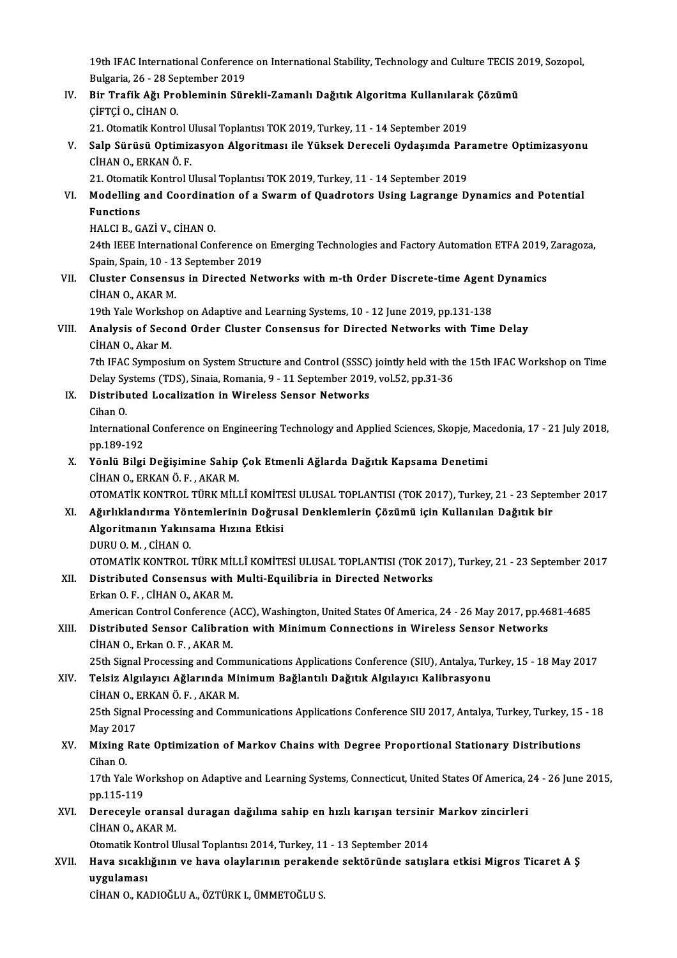19th IFAC International Conference on International Stability, Technology and Culture TECIS 2019, Sozopol,<br>Rulgaria 26, 28 Sontamber 2019 19th IFAC International Conferenc<br>Bulgaria, 26 - 28 September 2019<br>Bin Trafik Až: Broblominin Sün 19th IFAC International Conference on International Stability, Technology and Culture TECIS 2<br>Bulgaria, 26 - 28 September 2019<br>IV. Bir Trafik Ağı Probleminin Sürekli-Zamanlı Dağıtık Algoritma Kullanılarak Çözümü

Bulgaria, 26 - 28 Se<br>Bir Trafik Ağı Pro<br>ÇİFTÇİ O., CİHAN O.<br>21 Otematik Kentra Bir Trafik Ağı Probleminin Sürekli-Zamanlı Dağıtık Algoritma Kullanılaral<br>ÇİFTÇİ O., CİHAN O.<br>21. Otomatik Kontrol Ulusal Toplantısı TOK 2019, Turkey, 11 - 14 September 2019<br>Saln Sürüsü Ontimizasyon Algoritması ile Yüksek

ÇİFTÇİ O., CİHAN O.<br>21. Otomatik Kontrol Ulusal Toplantısı TOK 2019, Turkey, 11 - 14 September 2019<br>V. Salp Sürüsü Optimizasyon Algoritması ile Yüksek Dereceli Oydaşımda Parametre Optimizasyonu<br>CİHAN O. ERKAN Ö. E 21. Otomatik Kontrol Ulusal Toplantısı TOK 2019, Turkey, 11 - 14 September 2019<br>Salp Sürüsü Optimizasyon Algoritması ile Yüksek Dereceli Oydaşımda Paı<br>CİHAN O., ERKAN Ö. F.<br>21. Otomatik Kontrol Ulusal Toplantısı TOK 2019, Salp Sürüsü Optimizasyon Algoritması ile Yüksek Dereceli Oydaşımda Par<br>CİHAN O., ERKAN Ö. F.<br>21. Otomatik Kontrol Ulusal Toplantısı TOK 2019, Turkey, 11 - 14 September 2019<br>Medalling and Coordination of a Surarm of Quadret

## CIHAN O., ERKAN Ö. F.<br>21. Otomatik Kontrol Ulusal Toplantısı TOK 2019, Turkey, 11 - 14 September 2019<br>VI. Modelling and Coordination of a Swarm of Quadrotors Using Lagrange Dynamics and Potential<br>Functions 21. Otomati<br>Modelling<br>Functions<br>HALCLR C Modelling and Coordinat<br>Functions<br>HALCI B., GAZİ V., CİHAN O.<br>24th IEEE International Con

Functions<br>HALCI B., GAZİ V., CİHAN O.<br>24th IEEE International Conference on Emerging Technologies and Factory Automation ETFA 2019, Zaragoza, HALCI B., GAZİ V., CİHAN O.<br>24th IEEE International Conference or<br>Spain, Spain, 10 - 13 September 2019<br>Cluster Consensus in Dinested Ne 24th IEEE International Conference on Emerging Technologies and Factory Automation ETFA 2019,<br>Spain, Spain, 10 - 13 September 2019<br>VII. Cluster Consensus in Directed Networks with m-th Order Discrete-time Agent Dynamics<br>CU

Spain, Spain, 10 - 1:<br>Cluster Consensu<br>CİHAN O., AKAR M.<br>10th Vale Workshe Cluster Consensus in Directed Networks with m-th Order Discrete-time Agent<br>CIHAN O., AKAR M.<br>19th Yale Workshop on Adaptive and Learning Systems, 10 - 12 June 2019, pp.131-138<br>Analysis of Sesand Order Cluster Consensus for

19th Yale Workshop on Adaptive and Learning Systems, 10 - 12 June 2019, pp.131-138

## CİHAN O., AKAR M.<br>19th Yale Workshop on Adaptive and Learning Systems, 10 - 12 June 2019, pp.131-138<br>VIII. Analysis of Second Order Cluster Consensus for Directed Networks with Time Delay<br>CİHAN O.. Akar M.

7th IFAC Symposium on System Structure and Control (SSSC) jointly held with the 15th IFAC Workshop on Time CİHAN O., Akar M.<br>7th IFAC Symposium on System Structure and Control (SSSC) jointly held with t<br>Delay Systems (TDS), Sinaia, Romania, 9 - 11 September 2019, vol.52, pp.31-36<br>Distributed Logalization in Winaless Sanson Natw 7th IFAC Symposium on System Structure and Control (SSSC)<br>Delay Systems (TDS), Sinaia, Romania, 9 - 11 September 2019<br>IX. Distributed Localization in Wireless Sensor Networks<br>Ciban O Delay Sy<br>Distribu<br>Cihan O.<br>Internati

- 
- 

Distributed Localization in Wireless Sensor Networks<br>Cihan O.<br>International Conference on Engineering Technology and Applied Sciences, Skopje, Macedonia, 17 - 21 July 2018,<br>nn 199,192 Cihan O.<br>Internationa<br>pp.189-192<br>Vēnlū Bilgi International Conference on Engineering Technology and Applied Sciences, Skopje, Mac<br>pp.189-192<br>X. Yönlü Bilgi Değişimine Sahip Çok Etmenli Ağlarda Dağıtık Kapsama Denetimi<br>CUAN O. ERKANÖ E. AKAR M

pp.189-192<br>X. Yönlü Bilgi Değişimine Sahip Çok Etmenli Ağlarda Dağıtık Kapsama Denetimi<br>CİHAN O., ERKAN Ö. F. , AKAR M.

OTOMATİKKONTROL TÜRKMİLLÎKOMİTESİULUSAL TOPLANTISI (TOK2017),Turkey,21 -23 September 2017

XI. Ağırlıklandırma Yöntemlerinin Doğrusal Denklemlerin Çözümü için Kullanılan Dağıtık bir OTOMATİK KONTROL TÜRK MİLLÎ KOMİTE<br>Ağırlıklandırma Yöntemlerinin Doğru:<br>Algoritmanın Yakınsama Hızına Etkisi<br>DUBU O.M. CİHAN O. Ağırlıklandırma Yön<br>Algoritmanın Yakıns<br>DURU O. M. , CİHAN O.<br>OTOMATİK KONTROL DURU O. M. , CİHAN O.<br>OTOMATİK KONTROL TÜRK MİLLÎ KOMİTESİ ULUSAL TOPLANTISI (TOK 2017), Turkey, 21 - 23 September 2017 DURU 0. M. , CİHAN 0.<br>OTOMATİK KONTROL TÜRK MİLLÎ KOMİTESİ ULUSAL TOPLANTISI (TOK 20<br>XII. Distributed Consensus with Multi-Equilibria in Directed Networks<br>Erkan O. E. CİHAN O. AKAR M

## OTOMATİK KONTROL TÜRK Mİ<br>Distributed Consensus with<br>Erkan O. F. , CİHAN O., AKAR M.<br>American Centrel Conference ( Erkan O. F. , CİHAN O., AKAR M.<br>American Control Conference (ACC), Washington, United States Of America, 24 - 26 May 2017, pp.4681-4685 Erkan O. F. , CİHAN O., AKAR M.<br>American Control Conference (ACC), Washington, United States Of America, 24 - 26 May 2017, pp.46<br>XIII. Distributed Sensor Calibration with Minimum Connections in Wireless Sensor Networks<br>CUA

## American Control Conference<br>Distributed Sensor Calibrati<br>CİHAN O., Erkan O. F. , AKAR M.<br>25th Signal Brassssing and Com CİHAN O., Erkan O. F. , AKAR M.<br>25th Signal Processing and Communications Applications Conference (SIU), Antalya, Turkey, 15 - 18 May 2017

### CİHAN O., Erkan O. F. , AKAR M.<br>25th Signal Processing and Communications Applications Conference (SIU), Antalya, Tur<br>XIV. Telsiz Algılayıcı Ağlarında Minimum Bağlantılı Dağıtık Algılayıcı Kalibrasyonu<br>CİHAN O. ERKAN Ö 25th Signal Processing and Comr<br>Telsiz Algılayıcı Ağlarında Mi<br>CİHAN O., ERKAN Ö. F. , AKAR M.<br>25th Signal Processing and Comr Telsiz Algılayıcı Ağlarında Minimum Bağlantılı Dağıtık Algılayıcı Kalibrasyonu<br>CİHAN O., ERKAN Ö. F. , AKAR M.<br>25th Signal Processing and Communications Applications Conference SIU 2017, Antalya, Turkey, Turkey, 15 - 18<br>Ma CİHAN O., I<br>25th Signa<br>May 2017<br>Miving Bo

## 25th Signal Processing and Communications Applications Conference SIU 2017, Antalya, Turkey, Turkey, 15<br>May 2017<br>XV. Mixing Rate Optimization of Markov Chains with Degree Proportional Stationary Distributions<br>Giban O May 201<br>**Mixing**<br>Cihan O.<br>17th Vol. Mixing Rate Optimization of Markov Chains with Degree Proportional Stationary Distributions<br>Cihan O.<br>17th Yale Workshop on Adaptive and Learning Systems, Connecticut, United States Of America, 24 - 26 June 2015,<br>nn 115 110

Cihan 0.<br>17th Yale Workshop on Adaptive and Learning Systems, Connecticut, United States Of America, 24 - 26 June 2015,<br>pp.115-119 17th Yale Workshop on Adaptive and Learning Systems, Connecticut, United States Of America, 2<br>pp.115-119<br>XVI. Dereceyle oransal duragan dağılıma sahip en hızlı karışan tersinir Markov zincirleri

## pp.115-119<br>Dereceyle oransa<br>CİHAN O., AKAR M.<br>Otamatik Kantral II Dereceyle oransal duragan dağılıma sahip en hızlı karışan tersini<br>CİHAN O., AKAR M.<br>Otomatik Kontrol Ulusal Toplantısı 2014, Turkey, 11 - 13 September 2014<br>Have sıcaklığının ve have elevlerinin perakanda saktöründe satısl

Otomatik Kontrol Ulusal Toplantısı 2014, Turkey, 11 - 13 September 2014

# CİHAN O., AKAR M.<br>Otomatik Kontrol Ulusal Toplantısı 2014, Turkey, 11 - 13 September 2014<br>XVII. Hava sıcaklığının ve hava olaylarının perakende sektöründe satışlara etkisi Migros Ticaret A Ş<br>uygulaması

CİHANO.,KADIOĞLUA.,ÖZTÜRKI.,ÜMMETOĞLUS.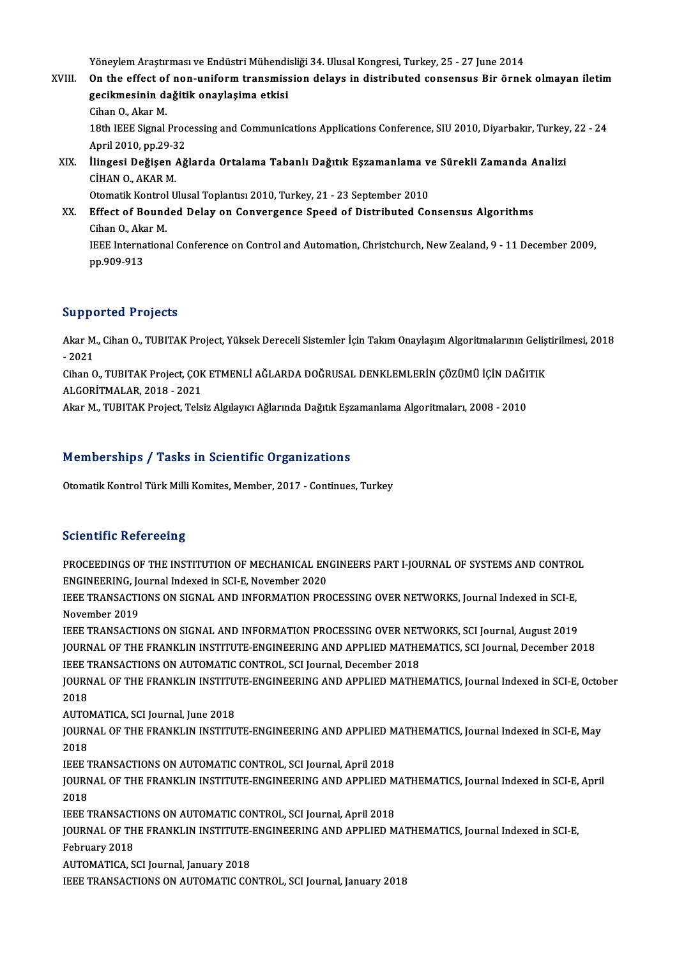Yöneylem Araştırması ve Endüstri Mühendisliği 34. Ulusal Kongresi, Turkey, 25 - 27 June 2014<br>On the effect of nan uniform transmission delays in distributed sensensus Bir önnel

### Yöneylem Araştırması ve Endüstri Mühendisliği 34. Ulusal Kongresi, Turkey, 25 - 27 June 2014<br>XVIII. On the effect of non-uniform transmission delays in distributed consensus Bir örnek olmayan iletim Yöneylem Araştırması ve Endüstri Mühendi<br>On the effect of non-uniform transmis:<br>gecikmesinin dağitik onaylaşima etkisi<br>Giban O. Alm M On the effect of<br>gecikmesinin da<br>Cihan O., Akar M.<br>19th IEEE Signal. gecikmesinin dağitik onaylaşima etkisi<br>Cihan O., Akar M.<br>18th IEEE Signal Processing and Communications Applications Conference, SIU 2010, Diyarbakır, Turkey, 22 - 24 Cihan O., Akar M.<br>18th IEEE Signal Proc<br>April 2010, pp.29-32<br>Ilingosi Dežisen Až 18th IEEE Signal Processing and Communications Applications Conference, SIU 2010, Diyarbakır, Turkey<br>April 2010, pp.29-32<br>XIX. İlingesi Değişen Ağlarda Ortalama Tabanlı Dağıtık Eşzamanlama ve Sürekli Zamanda Analizi<br>CİHAN April 2010, pp.29-3<br>İlingesi Değişen<br>CİHAN O., AKAR M.<br>Otomatik Kontrol II İlingesi Değişen Ağlarda Ortalama Tabanlı Dağıtık Eşzamanlama v<br>CİHAN O., AKAR M.<br>Otomatik Kontrol Ulusal Toplantısı 2010, Turkey, 21 - 23 September 2010<br>Effect of Bounded Delay on Convergence Speed of Distributed Co CİHAN O., AKAR M.<br>Otomatik Kontrol Ulusal Toplantısı 2010, Turkey, 21 - 23 September 2010<br>XX. Effect of Bounded Delay on Convergence Speed of Distributed Consensus Algorithms Otomatik Kontrol Ulusal Toplantısı 2010, Turkey, 21 - 23 September 2010

## IEEE International Conference on Control and Automation, Christchurch, New Zealand, 9 - 11 December 2009, pp.909-913 Cihan O., Akar M.

### Supported Projects

Supported Projects<br>Akar M., Cihan O., TUBITAK Project, Yüksek Dereceli Sistemler İçin Takım Onaylaşım Algoritmalarının Geliştirilmesi, 2018<br>2021 oupp<br>Akar M<br>- 2021<br>Ghan G Akar M., Cihan O., TUBITAK Project, Yüksek Dereceli Sistemler İçin Takım Onaylaşım Algoritmalarının Geliş<br>- 2021<br>Cihan O., TUBITAK Project, ÇOK ETMENLİ AĞLARDA DOĞRUSAL DENKLEMLERİN ÇÖZÜMÜ İÇİN DAĞITIK<br>ALCORITMALAR 2018, 2

- 2021<br>Cihan O., TUBITAK Project, ÇOK<br>ALGORİTMALAR, 2018 - 2021<br>Akar M. TUBITAK Project, Tels Cihan O., TUBITAK Project, ÇOK ETMENLİ AĞLARDA DOĞRUSAL DENKLEMLERİN ÇÖZÜMÜ İÇİN DAĞI'<br>ALGORİTMALAR, 2018 - 2021<br>Akar M., TUBITAK Project, Telsiz Algılayıcı Ağlarında Dağıtık Eşzamanlama Algoritmaları, 2008 - 2010

Akar M., TUBITAK Project, Telsiz Algılayıcı Ağlarında Dağıtık Eşzamanlama Algoritmaları, 2008 - 2010<br>Memberships / Tasks in Scientific Organizations

Otomatik Kontrol Türk Milli Komites, Member, 2017 - Continues, Turkey

### **Scientific Refereeing**

Scientific Refereeing<br>PROCEEDINGS OF THE INSTITUTION OF MECHANICAL ENGINEERS PART I-JOURNAL OF SYSTEMS AND CONTROL<br>ENGINEERING Journal Indoved in SCLE November 2020 BECOMMINE NETERESTING<br>PROCEEDINGS OF THE INSTITUTION OF MECHANICAL EN<br>ENGINEERING, Journal Indexed in SCI-E, November 2020<br>JEEE TRANSACTIONS ON SIGNAL AND INFORMATION PRO PROCEEDINGS OF THE INSTITUTION OF MECHANICAL ENGINEERS PART I-JOURNAL OF SYSTEMS AND CONTRO<br>ENGINEERING, Journal Indexed in SCI-E, November 2020<br>IEEE TRANSACTIONS ON SIGNAL AND INFORMATION PROCESSING OVER NETWORKS, Journal

ENGINEERING, Journal Indexed in SCI-E, November 2020<br>IEEE TRANSACTIONS ON SIGNAL AND INFORMATION PROCESSING OVER NETWORKS, Journal Indexed in SCI-E,<br>November 2019<br>IEEE TRANSACTIONS ON SIGNAL AND INFORMATION PROCESSING OVER IEEE TRANSACTIONS ON SIGNAL AND INFORMATION PROCESSING OVER NETWORKS, Journal Indexed in SCI-E,

JOURNAL OF THE FRANKLIN INSTITUTE-ENGINEERING AND APPLIED MATHEMATICS, SCI Journal, December 2018 IEEE TRANSACTIONS ON SIGNAL AND INFORMATION PROCESSING OVER NET<br>JOURNAL OF THE FRANKLIN INSTITUTE-ENGINEERING AND APPLIED MATHE<br>IEEE TRANSACTIONS ON AUTOMATIC CONTROL, SCI Journal, December 2018<br>JOURNAL OF THE ERANKLIN INS JOURNAL OF THE FRANKLIN INSTITUTE-ENGINEERING AND APPLIED MATHEMATICS, SCI Journal, December 2018<br>IEEE TRANSACTIONS ON AUTOMATIC CONTROL, SCI Journal, December 2018<br>JOURNAL OF THE FRANKLIN INSTITUTE-ENGINEERING AND APPLIED

IEEE <mark>1</mark><br>JOURN<br>2018 JOURNAL OF THE FRANKLIN INSTITU<br>2018<br>AUTOMATICA, SCI Journal, June 2018<br>JOURNAL OF THE ERANKLIN INSTITU

AUTOMATICA, SCI Journal, June 2018

2018<br>AUTOMATICA, SCI Journal, June 2018<br>JOURNAL OF THE FRANKLIN INSTITUTE-ENGINEERING AND APPLIED MATHEMATICS, Journal Indexed in SCI-E, May<br>2018 JOURNAL OF THE FRANKLIN INSTITUTE-ENGINEERING AND APPLIED M<br>2018<br>IEEE TRANSACTIONS ON AUTOMATIC CONTROL, SCI Journal, April 2018<br>JOURNAL OF THE ERANKLIN INSTITUTE ENCINEERING AND APPLIED M

JOURNAL OF THE FRANKLIN INSTITUTE-ENGINEERING AND APPLIED MATHEMATICS, Journal Indexed in SCI-E, April<br>2018 IEEE <mark>1</mark><br>JOURN<br>2018<br>IEEE 1 JOURNAL OF THE FRANKLIN INSTITUTE-ENGINEERING AND APPLIED M<br>2018<br>IEEE TRANSACTIONS ON AUTOMATIC CONTROL, SCI Journal, April 2018<br>JOURNAL OF THE ERANKLIN INSTITUTE ENCINEERING AND APPLIED M

JOURNAL OF THE FRANKLIN INSTITUTE-ENGINEERING AND APPLIED MATHEMATICS, Journal Indexed in SCI-E,<br>February 2018 **IEEE TRANSACT<br>JOURNAL OF TH<br>February 2018**<br>AUTOMATICA S

AUTOMATICA, SCI Journal, January 2018

IEEE TRANSACTIONS ON AUTOMATIC CONTROL, SCI Journal, January 2018